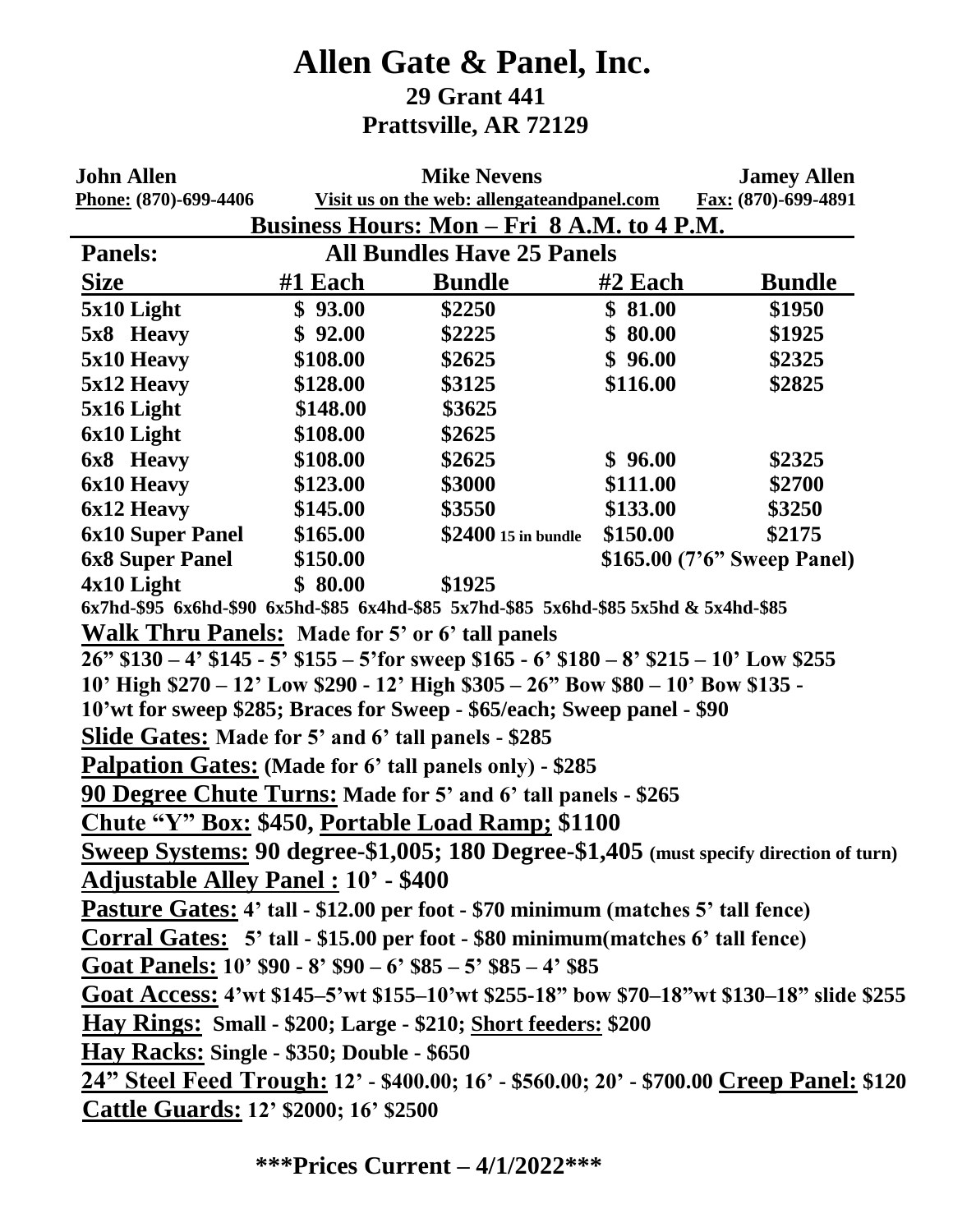## **Allen Gate & Panel, Inc. 29 Grant 441 Prattsville, AR 72129**

| <b>John Allen</b>                                                                                                                        | <b>Mike Nevens</b> |                                                                                               |          | <b>Jamey Allen</b>          |  |  |
|------------------------------------------------------------------------------------------------------------------------------------------|--------------------|-----------------------------------------------------------------------------------------------|----------|-----------------------------|--|--|
| Phone: (870)-699-4406<br>Visit us on the web: allengateandpanel.com<br>Fax: (870)-699-4891<br>Business Hours: Mon – Fri 8 A.M. to 4 P.M. |                    |                                                                                               |          |                             |  |  |
| <b>All Bundles Have 25 Panels</b><br><b>Panels:</b>                                                                                      |                    |                                                                                               |          |                             |  |  |
| <b>Size</b>                                                                                                                              | $#1$ Each          | <b>Bundle</b>                                                                                 | #2 Each  | <b>Bundle</b>               |  |  |
| 5x10 Light                                                                                                                               | \$93.00            | \$2250                                                                                        | \$81.00  | \$1950                      |  |  |
| 5x8 Heavy                                                                                                                                | \$92.00            | \$2225                                                                                        | \$80.00  | \$1925                      |  |  |
| 5x10 Heavy                                                                                                                               | \$108.00           | \$2625                                                                                        | \$96.00  | \$2325                      |  |  |
| 5x12 Heavy                                                                                                                               | \$128.00           | \$3125                                                                                        | \$116.00 | \$2825                      |  |  |
| $5x16$ Light                                                                                                                             | \$148.00           | \$3625                                                                                        |          |                             |  |  |
| 6x10 Light                                                                                                                               | \$108.00           | \$2625                                                                                        |          |                             |  |  |
| 6x8 Heavy                                                                                                                                | \$108.00           | \$2625                                                                                        | \$96.00  | \$2325                      |  |  |
| 6x10 Heavy                                                                                                                               | \$123.00           | \$3000                                                                                        | \$111.00 | \$2700                      |  |  |
| 6x12 Heavy                                                                                                                               | \$145.00           | \$3550                                                                                        | \$133.00 | \$3250                      |  |  |
| <b>6x10 Super Panel</b>                                                                                                                  | \$165.00           | \$2400 15 in bundle                                                                           | \$150.00 | \$2175                      |  |  |
| <b>6x8 Super Panel</b>                                                                                                                   | \$150.00           |                                                                                               |          | \$165.00 (7'6" Sweep Panel) |  |  |
| $4x10$ Light                                                                                                                             | \$80.00            | \$1925                                                                                        |          |                             |  |  |
|                                                                                                                                          |                    | 6x7hd-\$95 6x6hd-\$90 6x5hd-\$85 6x4hd-\$85 5x7hd-\$85 5x6hd-\$85 5x5hd & 5x4hd-\$85          |          |                             |  |  |
| <b>Walk Thru Panels:</b> Made for 5' or 6' tall panels                                                                                   |                    |                                                                                               |          |                             |  |  |
|                                                                                                                                          |                    | $26$ " \$130 – 4' \$145 - 5' \$155 – 5' for sweep \$165 - 6' \$180 – 8' \$215 – 10' Low \$255 |          |                             |  |  |
| 10' High \$270 - 12' Low \$290 - 12' High \$305 - 26" Bow \$80 - 10' Bow \$135 -                                                         |                    |                                                                                               |          |                             |  |  |
| 10'wt for sweep \$285; Braces for Sweep - \$65/each; Sweep panel - \$90                                                                  |                    |                                                                                               |          |                             |  |  |
| <b>Slide Gates:</b> Made for 5' and 6' tall panels - \$285                                                                               |                    |                                                                                               |          |                             |  |  |
| <b>Palpation Gates:</b> (Made for 6' tall panels only) - \$285                                                                           |                    |                                                                                               |          |                             |  |  |
| <b>90 Degree Chute Turns: Made for 5' and 6' tall panels - \$265</b>                                                                     |                    |                                                                                               |          |                             |  |  |
| Chute "Y" Box: \$450, Portable Load Ramp; \$1100                                                                                         |                    |                                                                                               |          |                             |  |  |
| Sweep Systems: 90 degree-\$1,005; 180 Degree-\$1,405 (must specify direction of turn)                                                    |                    |                                                                                               |          |                             |  |  |
| <b>Adjustable Alley Panel: 10' - \$400</b>                                                                                               |                    |                                                                                               |          |                             |  |  |
| Pasture Gates: 4' tall - \$12.00 per foot - \$70 minimum (matches 5' tall fence)                                                         |                    |                                                                                               |          |                             |  |  |
| <b>Corral Gates:</b> 5' tall - \$15.00 per foot - \$80 minimum (matches 6' tall fence)                                                   |                    |                                                                                               |          |                             |  |  |
| Goat Panels: $10'$ \$90 - 8' \$90 - 6' \$85 - 5' \$85 - 4' \$85                                                                          |                    |                                                                                               |          |                             |  |  |
| Goat Access: 4'wt \$145–5'wt \$155–10'wt \$255-18" bow \$70–18"wt \$130–18" slide \$255                                                  |                    |                                                                                               |          |                             |  |  |
| <b>Hay Rings: Small - \$200; Large - \$210; Short feeders: \$200</b>                                                                     |                    |                                                                                               |          |                             |  |  |
| Hay Racks: Single - \$350; Double - \$650                                                                                                |                    |                                                                                               |          |                             |  |  |
| <u>24" Steel Feed Trough:</u> 12' - \$400.00; 16' - \$560.00; 20' - \$700.00 Creep Panel: \$120                                          |                    |                                                                                               |          |                             |  |  |
| <b>Cattle Guards: 12' \$2000; 16' \$2500</b>                                                                                             |                    |                                                                                               |          |                             |  |  |